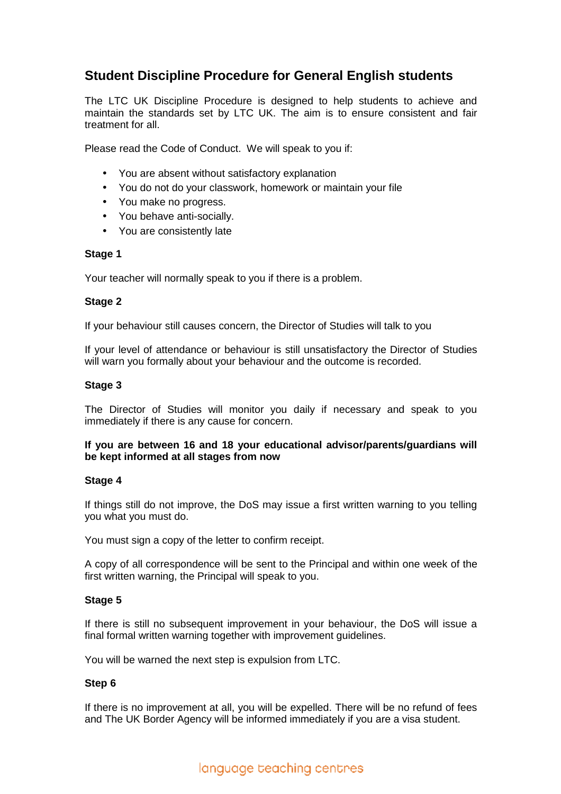# **Student Discipline Procedure for General English students**

The LTC UK Discipline Procedure is designed to help students to achieve and maintain the standards set by LTC UK. The aim is to ensure consistent and fair treatment for all.

Please read the Code of Conduct. We will speak to you if:

- You are absent without satisfactory explanation
- You do not do your classwork, homework or maintain your file
- You make no progress.
- You behave anti-socially.
- You are consistently late

## **Stage 1**

Your teacher will normally speak to you if there is a problem.

## **Stage 2**

If your behaviour still causes concern, the Director of Studies will talk to you

If your level of attendance or behaviour is still unsatisfactory the Director of Studies will warn you formally about your behaviour and the outcome is recorded.

## **Stage 3**

The Director of Studies will monitor you daily if necessary and speak to you immediately if there is any cause for concern.

## **If you are between 16 and 18 your educational advisor/parents/guardians will be kept informed at all stages from now**

#### **Stage 4**

If things still do not improve, the DoS may issue a first written warning to you telling you what you must do.

You must sign a copy of the letter to confirm receipt.

A copy of all correspondence will be sent to the Principal and within one week of the first written warning, the Principal will speak to you.

#### **Stage 5**

If there is still no subsequent improvement in your behaviour, the DoS will issue a final formal written warning together with improvement guidelines.

You will be warned the next step is expulsion from LTC.

#### **Step 6**

If there is no improvement at all, you will be expelled. There will be no refund of fees and The UK Border Agency will be informed immediately if you are a visa student.